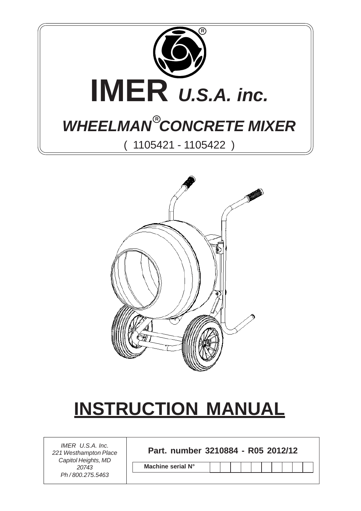



# **INSTRUCTION MANUAL**

*221 Westhampton Place Capitol Heights, MD 20743 Ph / 800.275.5463*

**Part. number 3210884 - R05 2012/12** *IMER U.S.A. Inc.*

**Machine serial N°**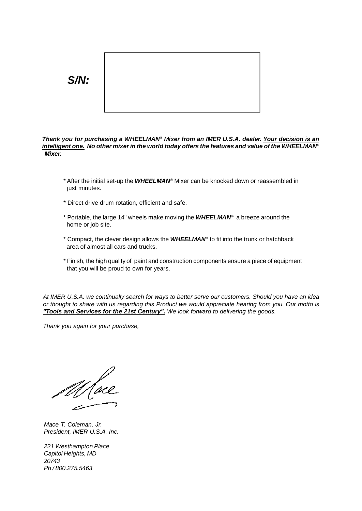

*Thank you for purchasing a WHEELMAN® Mixer from an IMER U.S.A. dealer. Your decision is an intelligent one. No other mixer in the world today offers the features and value of the WHEELMAN® Mixer.*

- \* After the initial set-up the *WHEELMAN®* Mixer can be knocked down or reassembled in just minutes.
- \* Direct drive drum rotation, efficient and safe.
- \* Portable, the large 14" wheels make moving the *WHEELMAN®* a breeze around the home or job site.
- \* Compact, the clever design allows the *WHEELMAN®* to fit into the trunk or hatchback area of almost all cars and trucks.
- \* Finish, the high quality of paint and construction components ensure a piece of equipment that you will be proud to own for years.

*At IMER U.S.A. we continually search for ways to better serve our customers. Should you have an idea* or thought to share with us regarding this Product we would appreciate hearing from you. Our motto is *"Tools and Services for the 21st Century". We look forward to delivering the goods.*

*Thank you again for your purchase,*

*Mace T. Coleman, Jr. President, IMER U.S.A. Inc.*

*221 Westhampton Place Capitol Heights, MD 20743 Ph / 800.275.5463*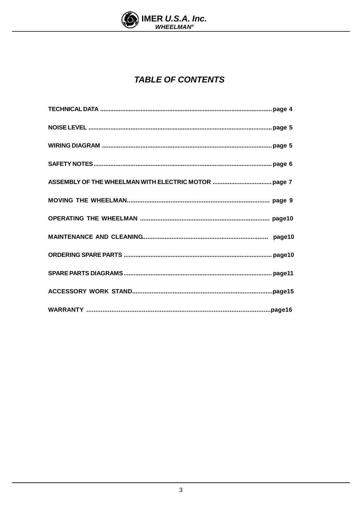

### **TABLE OF CONTENTS**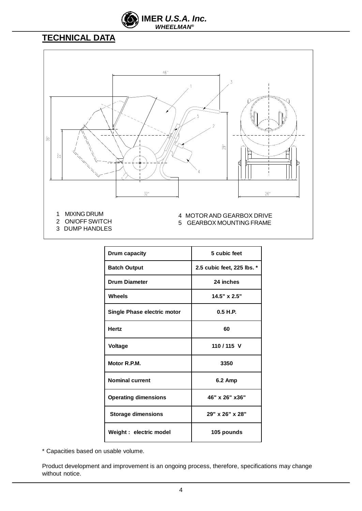

### **TECHNICAL DATA**



3 DUMP HANDLES

| Drum capacity               | 5 cubic feet               |
|-----------------------------|----------------------------|
| <b>Batch Output</b>         | 2.5 cubic feet, 225 lbs. * |
| <b>Drum Diameter</b>        | 24 inches                  |
| Wheels                      | 14.5" x 2.5"               |
| Single Phase electric motor | 0.5 H.P.                   |
| <b>Hertz</b>                | 60                         |
| <b>Voltage</b>              | 110/115 V                  |
| Motor R.P.M.                | 3350                       |
| <b>Nominal current</b>      | <b>6.2 Amp</b>             |
| <b>Operating dimensions</b> | 46" x 26" x 36"            |
| <b>Storage dimensions</b>   | 29" x 26" x 28"            |
| Weight : electric model     | 105 pounds                 |

\* Capacities based on usable volume.

Product development and improvement is an ongoing process, therefore, specifications may change without notice.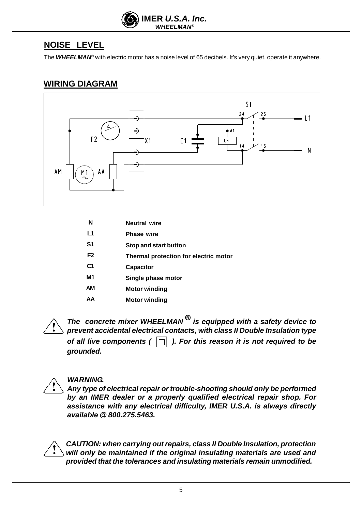

### **NOISE LEVEL**

The *WHEELMAN®* with electric motor has a noise level of 65 decibels. It's very quiet, operate it anywhere.

#### **WIRING DIAGRAM**



| N              | <b>Neutral wire</b>                   |
|----------------|---------------------------------------|
| L1             | <b>Phase wire</b>                     |
| S <sub>1</sub> | Stop and start button                 |
| F <sub>2</sub> | Thermal protection for electric motor |
| C <sub>1</sub> | <b>Capacitor</b>                      |
| M1             | Single phase motor                    |
| АM             | <b>Motor winding</b>                  |
| AA             | Motor winding                         |
|                |                                       |

*The concrete mixer WHEELMAN is equipped with a safety device to* **R** *prevent accidental electrical contacts, with class II Double Insulation type of all live components ( ). For this reason it is not required to be grounded.*



#### *WARNING.*

Any *type* of electrical repair or *trouble-shooting* should only be performed *by an IMER dealer or a properly qualified electrical repair shop. For assistance with any electrical difficulty, IMER U.S.A. is always directly available @ 800.275.5463.*

*CAUTION: when carrying outrepairs, class II Double Insulation, protection will only be maintained if the original insulating materials are used and provided that the tolerances and insulating materials remain unmodified.*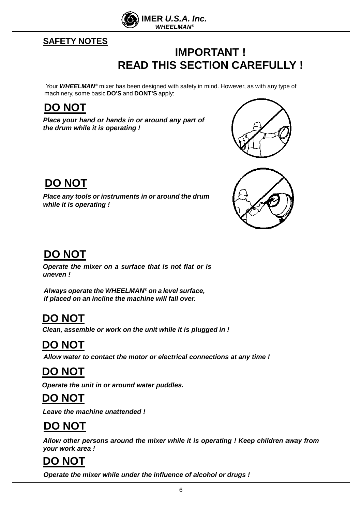

#### **SAFETY NOTES**

### **IMPORTANT ! READ THIS SECTION CAREFULLY !**

Your *WHEELMAN®* mixer has been designed with safety in mind. However, as with any type of machinery, some basic **DO'S** and **DONT'S** apply:

### **DO NOT**

*Place your hand or hands in or around any part of the drum while it is operating !*





### **DO NOT**

*Place any tools or instruments in or around the drum while it is operating !*

### **DO NOT**

*Operate the mixer on a surface that is not flat or is uneven !*

*Always operate the WHEELMAN® on a level surface, if placed on an incline the machine will fall over.*

### **DO NOT**

*Clean, assemble or work on the unit while it is plugged in !*

### **DO NOT**

 *Allow water to contact the motor or electrical connections at any time !*

### **DO NOT**

*Operate the unit in or around water puddles.*

### **DO NOT**

*Leave the machine unattended !*

### **DO NOT**

*Allow other persons around the mixer while it is operating ! Keep children away from your work area !*

### **DO NOT**

*Operate the mixer while under the influence of alcohol or drugs !*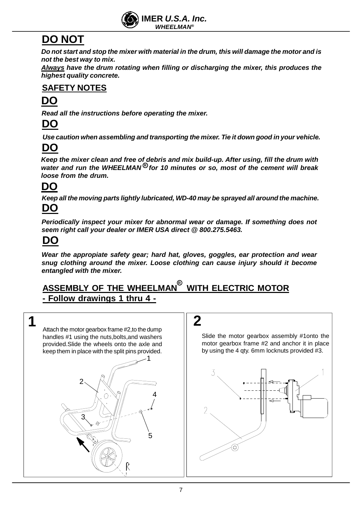

### **DO NOT**

Do not start and stop the mixer with material in the drum, this will damage the motor and is *not the best way to mix.*

*Always have the drum rotating when filling or discharging the mixer, this produces the highest quality concrete.*

### **SAFETY NOTES**

### **DO**

*Read all the instructions before operating the mixer.*

### **DO**

*Use caution when assembling and transporting the mixer. Tie it down good in your vehicle.*

### **DO**

*Keep the mixer clean and free of debris and mix build-up. After using, fill the drum with* water and run the WHEELMAN<sup>®</sup> for 10 minutes or so, most of the cement will break *loose from the drum.*

### **DO**

*Keep all the moving parts lightly lubricated, WD-40 may be sprayed all around the machine.* **DO**

*Periodically inspect your mixer for abnormal wear or damage. If something does not seem right call your dealer or IMER USA direct @ 800.275.5463.*

### **DO**

*Wear the appropiate safety gear; hard hat, gloves, goggles, ear protection and wear snug clothing around the mixer. Loose clothing can cause injury should it become entangled with the mixer.*

### $\overline{S}$  ASSEMBLY OF THE WHEELMAN $^{\circledR}$  WITH ELECTRIC MOTOR **- Follow drawings 1 thru 4 -**





Slide the motor gearbox assembly #1onto the motor gearbox frame #2 and anchor it in place by using the 4 qty. 6mm locknuts provided #3.

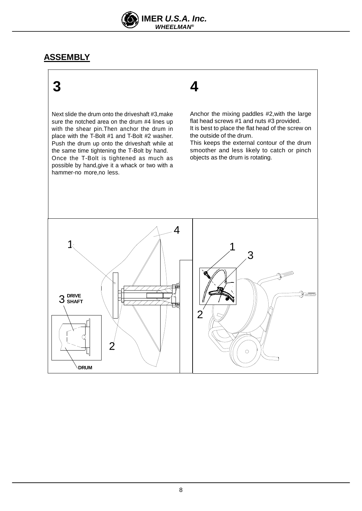

#### **ASSEMBLY**

## **3 4**

Next slide the drum onto the driveshaft #3,make sure the notched area on the drum #4 lines up with the shear pin.Then anchor the drum in place with the T-Bolt #1 and T-Bolt #2 washer. Push the drum up onto the driveshaft while at the same time tightening the T-Bolt by hand. Once the T-Bolt is tightened as much as possible by hand,give it a whack or two with a hammer-no more,no less.

Anchor the mixing paddles #2,with the large flat head screws #1 and nuts #3 provided. It is best to place the flat head of the screw on the outside of the drum.

This keeps the external contour of the drum smoother and less likely to catch or pinch objects as the drum is rotating.

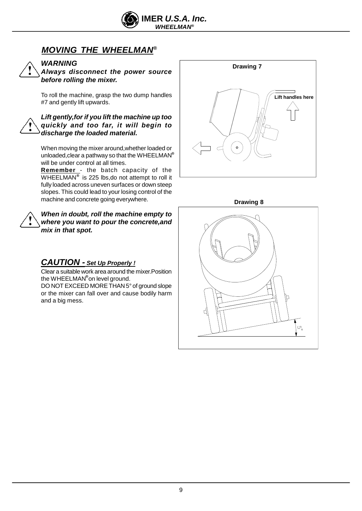

### *MOVING THE WHEELMAN®*



#### *WARNING*

*Always disconnect the power source before rolling the mixer.*

To roll the machine, grasp the two dump handles #7 and gently lift upwards.

*Lift gently,for if you lift the machine up too quickly and too far, it will begin to discharge the loaded material.*

When moving the mixer around,whether loaded or unloaded,clear a pathway so that the WHEELMAN **®** will be under control at all times.

**Remember** - the batch capacity of the WHEELMAN® is 225 lbs,do not attempt to roll it fully loaded across uneven surfaces or down steep slopes. This could lead to your losing control of the machine and concrete going everywhere.

#### *When in doubt, roll the machine empty to where you want to pour the concrete,and mix in that spot.*

#### *CAUTION - Set Up Properly !*

Clear a suitable work area around the mixer.Position the WHEELMAN® on level ground.

DO NOT EXCEED MORETHAN 5° of ground slope or the mixer can fall over and cause bodily harm and a big mess.



**Drawing 8**

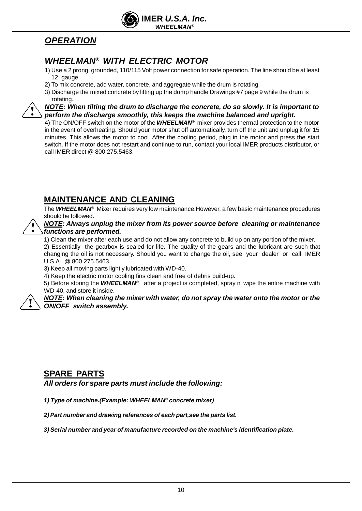

### *OPERATION*

#### *WHEELMAN® WITH ELECTRIC MOTOR*

- 1) Use a 2 prong, grounded, 110/115 Volt power connection for safe operation. The line should be at least 12 gauge.
- 2) To mix concrete, add water, concrete, and aggregate while the drum is rotating.
- 3) Discharge the mixed concrete by lifting up the dump handle Drawings #7 page 9 while the drum is rotating.

*NOTE: When tilting the drum to discharge the concrete, do so slowly. It is important to perform the discharge smoothly, this keeps the machine balanced and upright.*

4) The ON/OFF switch on the motor of the *WHEELMAN®* mixer provides thermal protection to the motor in the event of overheating. Should your motor shut off automatically, turn off the unit and unplug it for 15 minutes. This allows the motor to cool. After the cooling period, plug in the motor and press the start switch. If the motor does not restart and continue to run, contact your local IMER products distributor, or call IMER direct @ 800.275.5463.

#### **MAINTENANCE AND CLEANING**

The *WHEELMAN®* Mixer requires very low maintenance.However, a few basic maintenance procedures should be followed.

#### *NOTE: Always unplug the mixer from its power source before cleaning or maintenance functions are performed.*

1) Clean the mixer after each use and do not allow any concrete to build up on any portion of the mixer.

2) Essentially the gearbox is sealed for life. The quality of the gears and the lubricant are such that changing the oil is not necessary. Should you want to change the oil, see your dealer or call IMER U.S.A. @ 800.275.5463.

3) Keep all moving parts lightly lubricated with WD-40.

4) Keep the electric motor cooling fins clean and free of debris build-up.

5) Before storing the WHEELMAN<sup>®</sup> after a project is completed, spray n' wipe the entire machine with WD-40, and store it inside.

*NOTE: When cleaning the mixer with water, do not spray the water onto the motor or the ON/OFF switch assembly.*

#### **SPARE PARTS**

*All orders for spare parts must include the following:*

*1) Type of machine.(Example: WHEELMAN® concrete mixer)*

*2) Part number and drawing references of each part,see the parts list.*

*3) Serial number and year of manufacture recorded on the machine's identification plate.*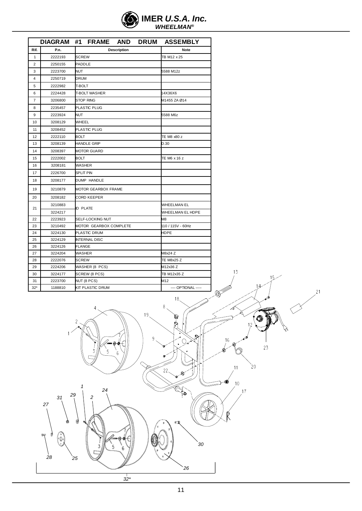| $\left\langle \bigotimes \right\rangle$ IMER U.S.A. Inc. |
|----------------------------------------------------------|
| <b>WHEELMAN<sup>®</sup></b>                              |

|                |         |                  |                            |                    |                | DIAGRAM #1 FRAME AND DRUM ASSEMBLY |
|----------------|---------|------------------|----------------------------|--------------------|----------------|------------------------------------|
| Rif.           | P.n.    |                  |                            | Description        |                | Note                               |
| $\mathbf{1}$   | 2222193 |                  | <b>SCREW</b>               |                    | TB M12 x 25    |                                    |
| $\overline{2}$ | 2250155 | <b>PADDLE</b>    |                            |                    |                |                                    |
| 3              | 2223700 | <b>NUT</b>       |                            |                    |                | 5588 M12z                          |
| 4              | 2250719 | <b>DRUM</b>      |                            |                    |                |                                    |
| 5              | 2222982 | <b>T-BOLT</b>    |                            |                    |                |                                    |
| 6              | 2224428 |                  | <b>T-BOLT WASHER</b>       |                    |                | 14X36X6                            |
| $\overline{7}$ | 3206800 |                  | <b>STOP RING</b>           |                    |                | M1455 ZA Ø14                       |
| 8              | 2235457 |                  | <b>PLASTIC PLUG</b>        |                    |                |                                    |
| 9              | 2223924 | <b>NUT</b>       |                            |                    |                | 5588 M6z                           |
| 10             | 3208129 |                  | WHEEL                      |                    |                |                                    |
| 11             | 3208452 |                  | <b>PLASTIC PLUG</b>        |                    |                |                                    |
| 12             | 2222110 | BOLT             |                            |                    |                | TE M8 x80 z                        |
| 13             | 3208139 |                  | <b>HANDLE GRIP</b>         |                    | D.30           |                                    |
| 14             | 3208397 |                  | <b>MOTOR GUARD</b>         |                    |                |                                    |
| 15             | 2222002 |                  | BOLT                       |                    | TE M6 x 16 z   |                                    |
| 16             | 3208181 |                  | WASHER                     |                    |                |                                    |
| 17             | 2226700 | <b>SPLIT PIN</b> |                            |                    |                |                                    |
| 18             | 3208177 |                  | <b>DUMP HANDLE</b>         |                    |                |                                    |
| 19             | 3210879 |                  | <b>MOTOR GEARBOX FRAME</b> |                    |                |                                    |
| 20             | 3208182 |                  | <b>CORD KEEPER</b>         |                    |                |                                    |
|                | 3210883 |                  |                            | <b>WHEELMAN EL</b> |                |                                    |
| 21             | 3224217 |                  | ID PLATE                   |                    |                | WHEELMAN EL HDPE                   |
| 22             | 2223923 |                  | SELF-LOCKING NUT           |                    | M <sub>8</sub> |                                    |
| 23             | 3210492 |                  | MOTOR GEARBOX COMPLETE     |                    |                | 110 / 115V - 60Hz                  |
| 24             | 3224130 |                  | PLASTIC DRUM               |                    | HDPE           |                                    |
| 25             | 3224129 |                  | <b>INTERNAL DISC</b>       |                    |                |                                    |
| 26             | 3224126 | <b>FLANGE</b>    |                            |                    |                |                                    |
| 27             | 3224204 | WASHER           |                            |                    |                | M8x24 Z                            |
| 28             | 2222076 | <b>SCREW</b>     |                            |                    |                | <b>TE M8x25 Z</b>                  |
| 29             | 2224206 |                  | WASHER (8 PCS)             |                    |                | M12x36 Z                           |
| 30             | 3224177 |                  | SCREW (8 PCS)              |                    |                | TB M12x35 Z                        |
| 31             | 2223700 |                  | NUT (8 PCS)                |                    |                | M12                                |
| $32*$          | 1188810 |                  | <b>KIT PLASTIC DRUM</b>    |                    |                | ---- OPTIONAL -----                |

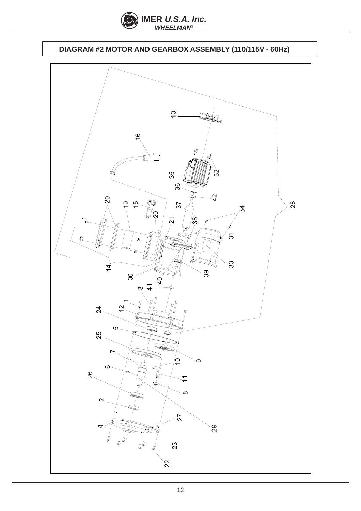

### **DIAGRAM #2 MOTOR AND GEARBOX ASSEMBLY (110/115V - 60Hz)**

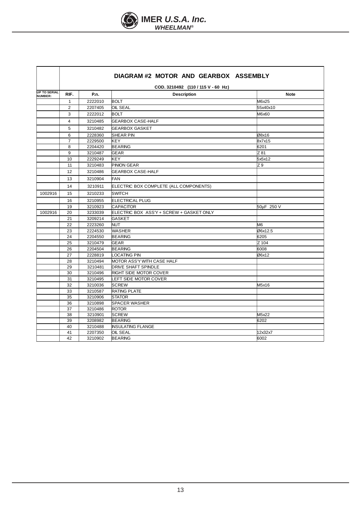

|                                       | DIAGRAM #2 MOTOR AND GEARBOX ASSEMBLY |         |                                          |                |  |
|---------------------------------------|---------------------------------------|---------|------------------------------------------|----------------|--|
| COD. 3210492 (110 / 115 V - 60 Hz)    |                                       |         |                                          |                |  |
| <b>UP TO SERIAL</b><br><b>NUMBER:</b> | RIF.                                  | P.n.    | <b>Description</b>                       | <b>Note</b>    |  |
|                                       | $\mathbf{1}$                          | 2222010 | <b>BOLT</b>                              | M6x25          |  |
|                                       | 2                                     | 2207405 | OIL SEAL                                 | 55x40x10       |  |
|                                       | 3                                     | 2222012 | <b>BOLT</b>                              | M6x60          |  |
|                                       | 4                                     | 3210485 | <b>GEARBOX CASE-HALF</b>                 |                |  |
|                                       | 5                                     | 3210482 | <b>GEARBOX GASKET</b>                    |                |  |
|                                       | 6                                     | 2228360 | SHEAR PIN                                | Ø8x16          |  |
|                                       | $\overline{7}$                        | 2229500 | <b>KEY</b>                               | 8x7x15         |  |
|                                       | 8                                     | 2204420 | <b>BEARING</b>                           | 6201           |  |
|                                       | 9                                     | 3210487 | <b>GEAR</b>                              | Z 81           |  |
|                                       | 10                                    | 2229249 | <b>KEY</b>                               | 5x5x12         |  |
|                                       | 11                                    | 3210483 | <b>PINION GEAR</b>                       | Z 9            |  |
|                                       | 12                                    | 3210486 | <b>GEARBOX CASE-HALF</b>                 |                |  |
|                                       | 13                                    | 3210904 | <b>FAN</b>                               |                |  |
|                                       | 14                                    | 3210911 | ELECTRIC BOX COMPLETE (ALL COMPONENTS)   |                |  |
| 1002916                               | 15                                    | 3210233 | <b>SWITCH</b>                            |                |  |
|                                       | 16                                    | 3210955 | <b>ELECTRICAL PLUG</b>                   |                |  |
|                                       | 19                                    | 3210923 | <b>CAPACITOR</b>                         | 50µF 250 V     |  |
| 1002916                               | 20                                    | 3233039 | ELECTRIC BOX ASS'Y + SCREW + GASKET ONLY |                |  |
|                                       | 21                                    | 3209214 | <b>GASKET</b>                            |                |  |
|                                       | 22                                    | 2223260 | <b>NUT</b>                               | M <sub>6</sub> |  |
|                                       | 23                                    | 2224530 | <b>WASHER</b>                            | Ø6x12.5        |  |
|                                       | 24                                    | 2204550 | <b>BEARING</b>                           | 6205           |  |
|                                       | 25                                    | 3210479 | <b>GEAR</b>                              | Z 104          |  |
|                                       | 26                                    | 2204504 | <b>BEARING</b>                           | 6008           |  |
|                                       | 27                                    | 2228819 | LOCATING PIN                             | Ø6x12          |  |
|                                       | 28                                    | 3210494 | MOTOR ASS'Y WITH CASE HALF               |                |  |
|                                       | 29                                    | 3210481 | <b>DRIVE SHAFT SPINDLE</b>               |                |  |
|                                       | 30                                    | 3210496 | RIGHT SIDE MOTOR COVER                   |                |  |
|                                       | 31                                    | 3210495 | LEFT SIDE MOTOR COVER                    |                |  |
|                                       | 32                                    | 3210036 | <b>SCREW</b>                             | M5x16          |  |
|                                       | 33                                    | 3210587 | <b>RATING PLATE</b>                      |                |  |
|                                       | 35                                    | 3210906 | <b>STATOR</b>                            |                |  |
|                                       | 36                                    | 3210898 | <b>SPACER WASHER</b>                     |                |  |
|                                       | 37                                    | 3210486 | <b>ROTOR</b>                             |                |  |
|                                       | 38                                    | 3210901 | <b>SCREW</b>                             | M5x22          |  |
|                                       | 39                                    | 3208982 | <b>BEARING</b>                           | 6202           |  |
|                                       | 40                                    | 3210488 | <b>INSULATING FLANGE</b>                 |                |  |
|                                       | 41                                    | 2207350 | <b>OIL SEAL</b>                          | 12x32x7        |  |
|                                       | 42                                    | 3210902 | <b>BEARING</b>                           | 6002           |  |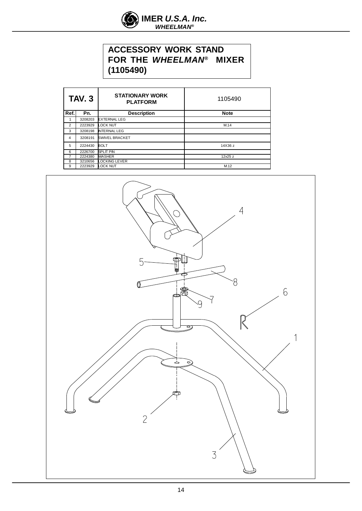

#### **ACCESSORY WORK STAND FOR THE** *WHEELMAN®*  **MIXER (1105490)**

| <b>TAV. 3</b>  |                           | <b>STATIONARY WORK</b><br><b>PLATFORM</b> | 1105490     |  |
|----------------|---------------------------|-------------------------------------------|-------------|--|
| Ref.           | <b>Description</b><br>Pn. |                                           | <b>Note</b> |  |
|                | 3208203                   | <b>EXTERNAL LEG</b>                       |             |  |
| $\overline{2}$ | 2223929                   | <b>LOCK NUT</b>                           | M.14        |  |
| 3              | 3208198                   | <b>INTERNAL LEG</b>                       |             |  |
| 4              | 3208191                   | <b>SWIVEL BRACKET</b>                     |             |  |
| 5              | 2224430                   | <b>BOLT</b>                               | 14X36 z     |  |
| 6              | 2226700                   | <b>SPLIT PIN</b>                          |             |  |
| 7              | 2224380                   | <b>WASHER</b>                             | 12x25 z     |  |
| 8              | 3210656                   | LOCKING LEVER                             |             |  |
| 9              | 2223929                   | <b>LOCK NUT</b>                           | M.12        |  |

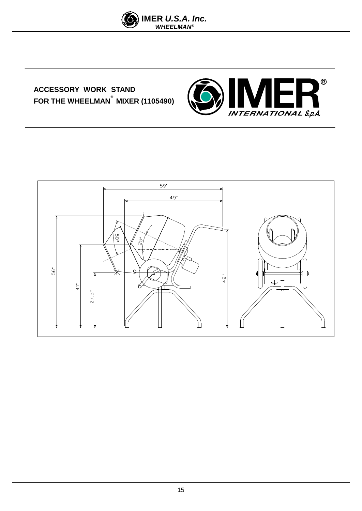

### **ACCESSORY WORK STAND FOR THE WHEELMAN MIXER (1105490) ®**